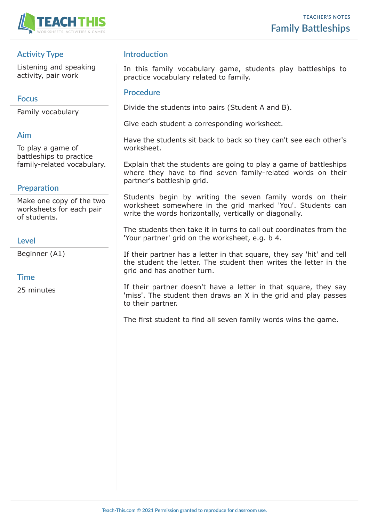

# **Activity Type**

Listening and speaking activity, pair work

## **Focus**

Family vocabulary

## **Aim**

To play a game of battleships to practice family-related vocabulary.

## **Preparation**

Make one copy of the two worksheets for each pair of students.

### **Level**

Beginner (A1)

## **Time**

25 minutes

# **Introduction**

In this family vocabulary game, students play battleships to practice vocabulary related to family.

### **Procedure**

Divide the students into pairs (Student A and B).

Give each student a corresponding worksheet.

Have the students sit back to back so they can't see each other's worksheet.

Explain that the students are going to play a game of battleships where they have to find seven family-related words on their partner's battleship grid.

Students begin by writing the seven family words on their worksheet somewhere in the grid marked 'You'. Students can write the words horizontally, vertically or diagonally.

The students then take it in turns to call out coordinates from the 'Your partner' grid on the worksheet, e.g. b 4.

If their partner has a letter in that square, they say 'hit' and tell the student the letter. The student then writes the letter in the grid and has another turn.

If their partner doesn't have a letter in that square, they say 'miss'. The student then draws an X in the grid and play passes to their partner.

The first student to find all seven family words wins the game.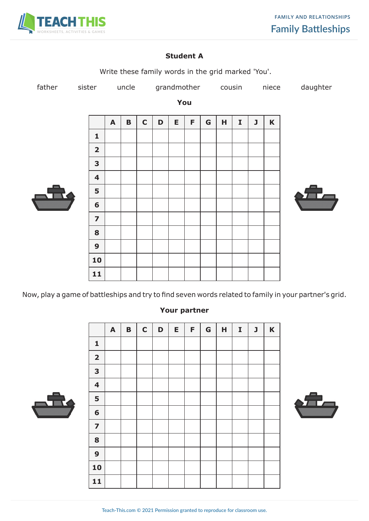

### **Student A**



Now, play a game of battleships and try to find seven words related to family in your partner's grid.

### **Your partner**